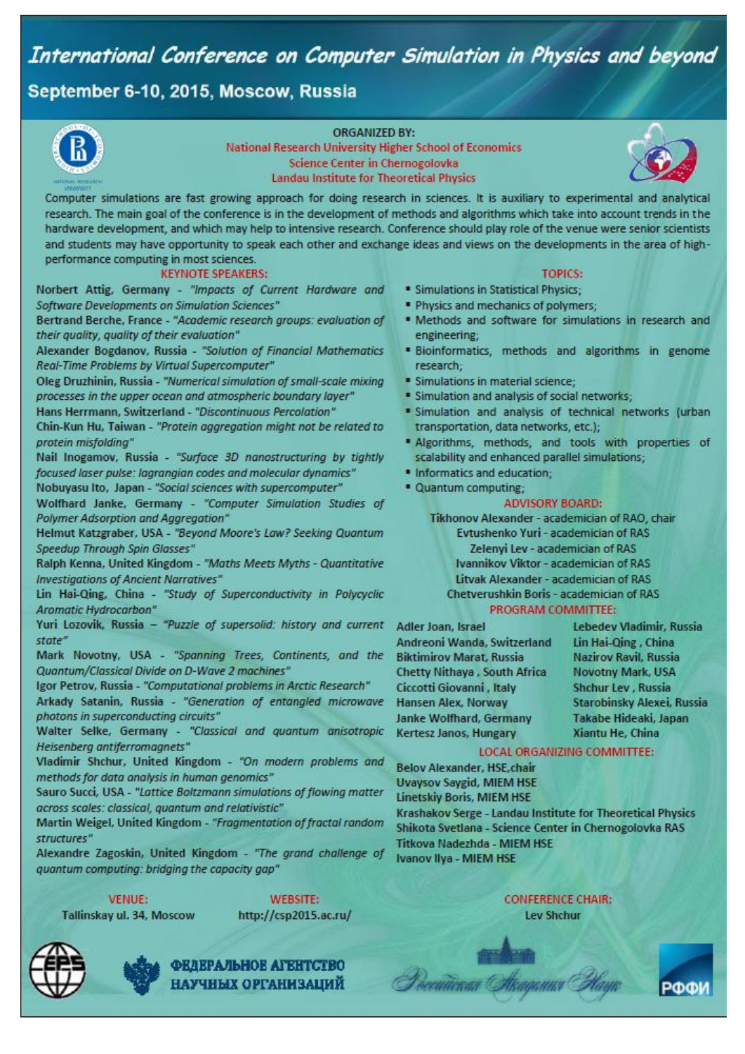International Conference on Computer Simulation in Physics and beyond

#### September 6-10, 2015, Moscow, Russia



ነውመ

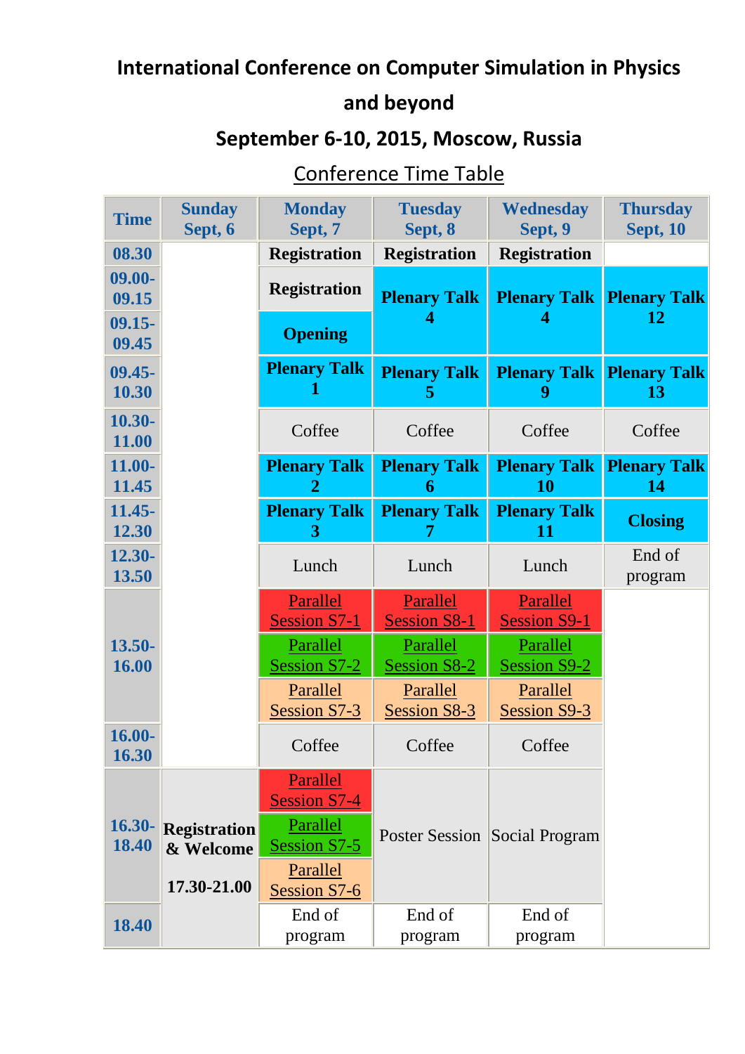# **International Conference on Computer Simulation in Physics and beyond**

# **September 6-10, 2015, Moscow, Russia**

# Conference Time Table

| <b>Time</b>        | <b>Sunday</b><br>Sept, 6        | <b>Monday</b><br>Sept, 7        | <b>Tuesday</b><br>Sept, 8       | <b>Wednesday</b><br>Sept, 9          | <b>Thursday</b><br><b>Sept, 10</b> |
|--------------------|---------------------------------|---------------------------------|---------------------------------|--------------------------------------|------------------------------------|
| 08.30              |                                 | <b>Registration</b>             | <b>Registration</b>             | <b>Registration</b>                  |                                    |
| $09.00 -$<br>09.15 |                                 | <b>Registration</b>             | <b>Plenary Talk</b>             | <b>Plenary Talk</b>                  | <b>Plenary Talk</b>                |
| $09.15 -$<br>09.45 |                                 | <b>Opening</b>                  |                                 |                                      | 12                                 |
| $09.45 -$<br>10.30 |                                 | <b>Plenary Talk</b>             | <b>Plenary Talk</b><br>5        | <b>Plenary Talk</b><br>9             | <b>Plenary Talk</b><br>13          |
| 10.30-<br>11.00    |                                 | Coffee                          | Coffee                          | Coffee                               | Coffee                             |
| 11.00-<br>11.45    |                                 | <b>Plenary Talk</b><br>2        | <b>Plenary Talk</b><br>6        | <b>Plenary Talk</b><br>10            | <b>Plenary Talk</b><br>14          |
| $11.45 -$<br>12.30 |                                 | <b>Plenary Talk</b><br>3        | <b>Plenary Talk</b>             | <b>Plenary Talk</b><br>11            | <b>Closing</b>                     |
| 12.30-<br>13.50    |                                 | Lunch                           | Lunch                           | Lunch                                | End of<br>program                  |
|                    |                                 | Parallel<br><b>Session S7-1</b> | Parallel<br><b>Session S8-1</b> | Parallel<br><b>Session S9-1</b>      |                                    |
| $13.50 -$<br>16.00 |                                 | Parallel<br>Session S7-2        | Parallel<br><b>Session S8-2</b> | Parallel<br><b>Session S9-2</b>      |                                    |
|                    |                                 | Parallel<br>Session S7-3        | Parallel<br>Session S8-3        | Parallel<br>Session S9-3             |                                    |
| 16.00-<br>16.30    |                                 | Coffee                          | Coffee                          | Coffee                               |                                    |
|                    |                                 | Parallel<br><b>Session S7-4</b> |                                 |                                      |                                    |
| 18.40              | 16.30-Registration<br>& Welcome | Parallel<br>Session S7-5        |                                 | <b>Poster Session Social Program</b> |                                    |
|                    | 17.30-21.00                     | Parallel<br>Session S7-6        |                                 |                                      |                                    |
| 18.40              |                                 | End of<br>program               | End of<br>program               | End of<br>program                    |                                    |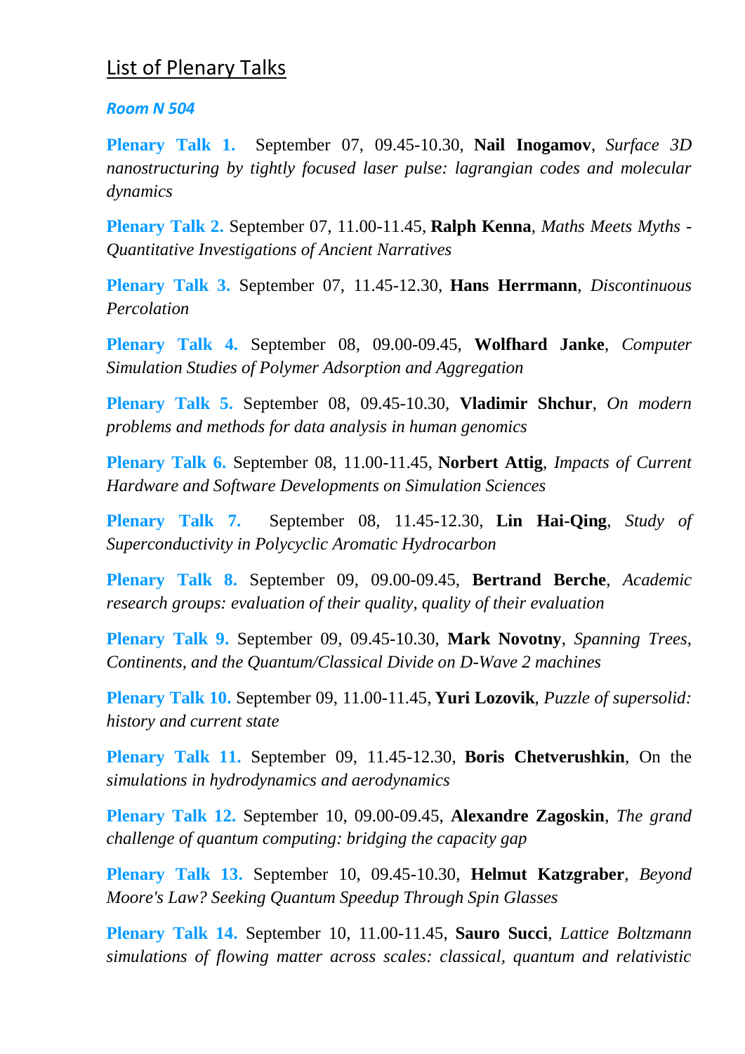### List of Plenary Talks

#### *Room N 504*

**Plenary Talk 1.** September 07, 09.45-10.30, **Nail Inogamov**, *Surface 3D nanostructuring by tightly focused laser pulse: lagrangian codes and molecular dynamics*

**Plenary Talk 2.** September 07, 11.00-11.45, **Ralph Kenna**, *Maths Meets Myths - Quantitative Investigations of Ancient Narratives*

**Plenary Talk 3.** September 07, 11.45-12.30, **Hans Herrmann**, *Discontinuous Percolation*

**Plenary Talk 4.** September 08, 09.00-09.45, **Wolfhard Janke**, *Computer Simulation Studies of Polymer Adsorption and Aggregation*

**Plenary Talk 5.** September 08, 09.45-10.30, **Vladimir Shchur**, *On modern problems and methods for data analysis in human genomics*

**Plenary Talk 6.** September 08, 11.00-11.45, **Norbert Attig**, *Impacts of Current Hardware and Software Developments on Simulation Sciences*

**Plenary Talk 7.** September 08, 11.45-12.30, **Lin Hai-Qing**, *Study of Superconductivity in Polycyclic Aromatic Hydrocarbon*

**Plenary Talk 8.** September 09, 09.00-09.45, **Bertrand Berche**, *Academic research groups: evaluation of their quality, quality of their evaluation*

**Plenary Talk 9.** September 09, 09.45-10.30, **Mark Novotny**, *Spanning Trees, Continents, and the Quantum/Classical Divide on D-Wave 2 machines*

**Plenary Talk 10.** September 09, 11.00-11.45, **Yuri Lozovik**, *Puzzle of supersolid: history and current state*

**Plenary Talk 11.** September 09, 11.45-12.30, **Boris Chetverushkin**, On the *simulations in hydrodynamics and aerodynamics*

**Plenary Talk 12.** September 10, 09.00-09.45, **Alexandre Zagoskin**, *The grand challenge of quantum computing: bridging the capacity gap*

**Plenary Talk 13.** September 10, 09.45-10.30, **Helmut Katzgraber**, *Beyond Moore's Law? Seeking Quantum Speedup Through Spin Glasses*

**Plenary Talk 14.** September 10, 11.00-11.45, **Sauro Succi**, *Lattice Boltzmann simulations of flowing matter across scales: classical, quantum and relativistic*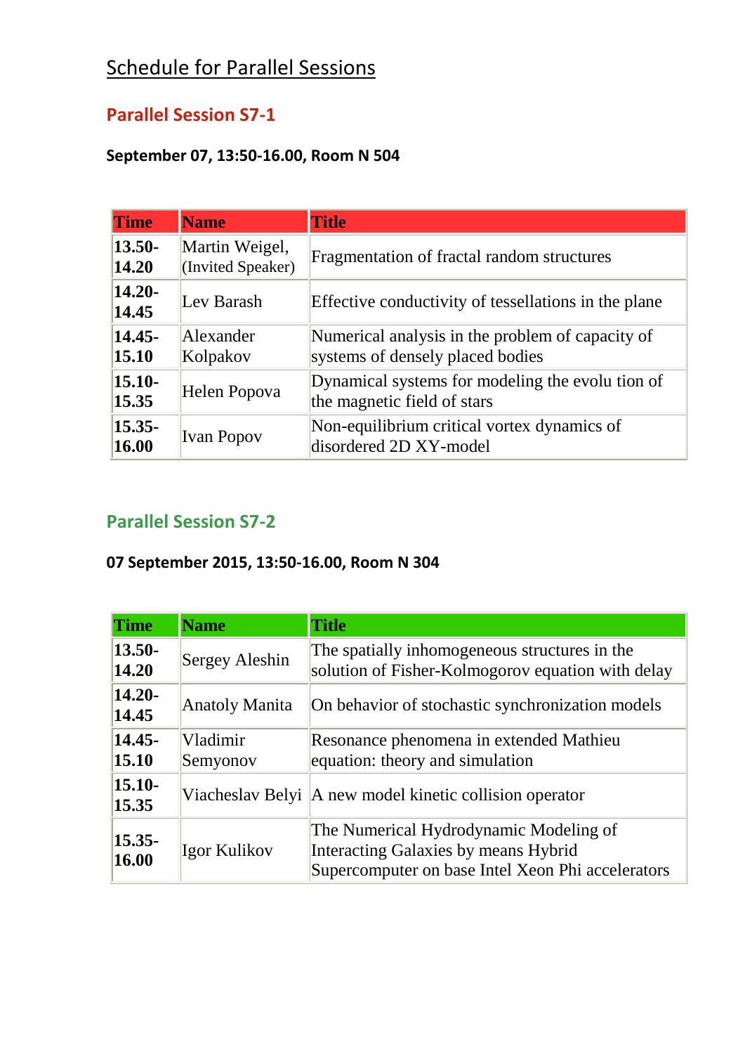# Schedule for Parallel Sessions

## **Parallel Session S7-1**

#### **September 07, 13:50-16.00, Room N 504**

| <b>Time</b>        | <b>Name</b>                         | <b>Title</b>                                                                         |
|--------------------|-------------------------------------|--------------------------------------------------------------------------------------|
| $13.50 -$<br>14.20 | Martin Weigel,<br>(Invited Speaker) | Fragmentation of fractal random structures                                           |
| $14.20 -$<br>14.45 | Lev Barash                          | Effective conductivity of tessellations in the plane                                 |
| $14.45 -$<br>15.10 | Alexander<br>Kolpakov               | Numerical analysis in the problem of capacity of<br>systems of densely placed bodies |
| $15.10 -$<br>15.35 | Helen Popova                        | Dynamical systems for modeling the evolu tion of<br>the magnetic field of stars      |
| $15.35 -$<br>16.00 | <b>Ivan Popov</b>                   | Non-equilibrium critical vortex dynamics of<br>disordered 2D XY-model                |

### **Parallel Session S7-2**

| <b>Time</b>        | <b>Name</b>           | <b>Title</b>                                                                                                                        |
|--------------------|-----------------------|-------------------------------------------------------------------------------------------------------------------------------------|
| $13.50 -$<br>14.20 | Sergey Aleshin        | The spatially inhomogeneous structures in the<br>solution of Fisher-Kolmogorov equation with delay                                  |
| $14.20 -$<br>14.45 | <b>Anatoly Manita</b> | On behavior of stochastic synchronization models                                                                                    |
| $14.45 -$<br>15.10 | Vladimir<br>Semyonov  | Resonance phenomena in extended Mathieu<br>equation: theory and simulation                                                          |
| $15.10 -$<br>15.35 |                       | Viacheslav Belyi   A new model kinetic collision operator                                                                           |
| $15.35 -$<br>16.00 | Igor Kulikov          | The Numerical Hydrodynamic Modeling of<br>Interacting Galaxies by means Hybrid<br>Supercomputer on base Intel Xeon Phi accelerators |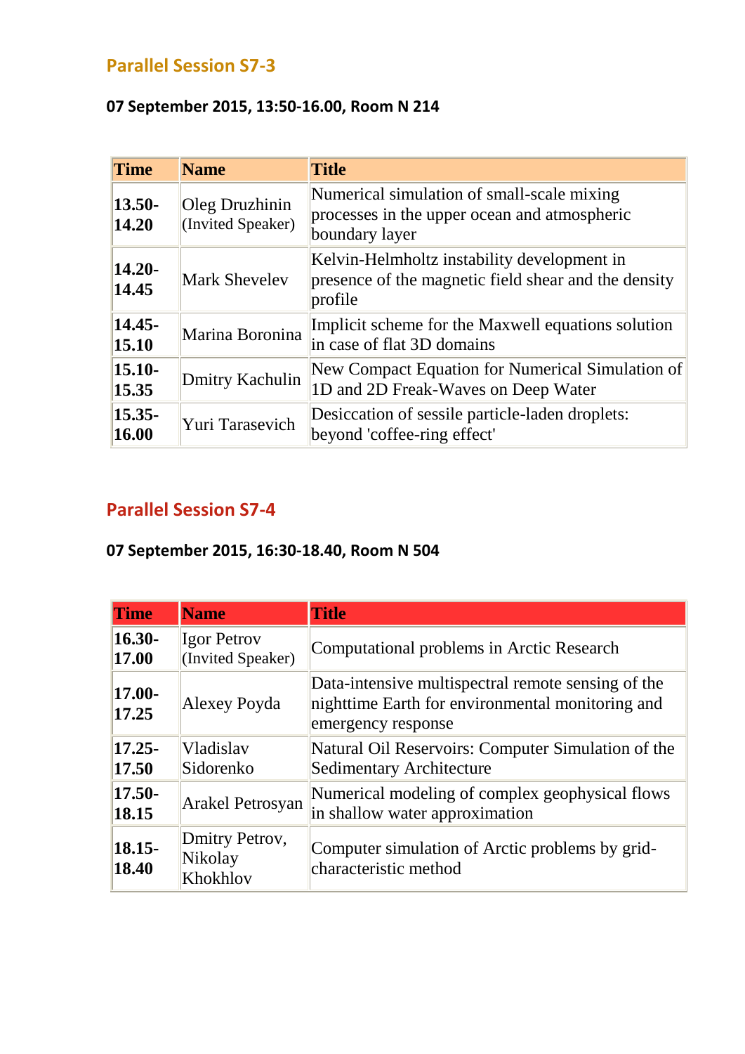### **Parallel Session S7-3**

#### **07 September 2015, 13:50-16.00, Room N 214**

| <b>Time</b>        | <b>Name</b>                         | <b>Title</b>                                                                                                   |
|--------------------|-------------------------------------|----------------------------------------------------------------------------------------------------------------|
| $13.50 -$<br>14.20 | Oleg Druzhinin<br>(Invited Speaker) | Numerical simulation of small-scale mixing<br>processes in the upper ocean and atmospheric<br>boundary layer   |
| $14.20 -$<br>14.45 | <b>Mark Shevelev</b>                | Kelvin-Helmholtz instability development in<br>presence of the magnetic field shear and the density<br>profile |
| 14.45-<br>15.10    | Marina Boronina                     | Implicit scheme for the Maxwell equations solution<br>in case of flat 3D domains                               |
| $15.10 -$<br>15.35 | Dmitry Kachulin                     | New Compact Equation for Numerical Simulation of<br>1D and 2D Freak-Waves on Deep Water                        |
| $15.35 -$<br>16.00 | Yuri Tarasevich                     | Desiccation of sessile particle-laden droplets:<br>beyond 'coffee-ring effect'                                 |

## **Parallel Session S7-4**

#### **07 September 2015, 16:30-18.40, Room N 504**

| <b>Time</b>        | <b>Name</b>                           | <b>Title</b>                                                                                                                 |
|--------------------|---------------------------------------|------------------------------------------------------------------------------------------------------------------------------|
| $16.30 -$<br>17.00 | Igor Petrov<br>(Invited Speaker)      | Computational problems in Arctic Research                                                                                    |
| $17.00 -$<br>17.25 | Alexey Poyda                          | Data-intensive multispectral remote sensing of the<br>nighttime Earth for environmental monitoring and<br>emergency response |
| $17.25 -$<br>17.50 | Vladislav<br>Sidorenko                | Natural Oil Reservoirs: Computer Simulation of the<br><b>Sedimentary Architecture</b>                                        |
| $17.50 -$<br>18.15 | <b>Arakel Petrosyan</b>               | Numerical modeling of complex geophysical flows<br>in shallow water approximation                                            |
| $18.15 -$<br>18.40 | Dmitry Petrov,<br>Nikolay<br>Khokhlov | Computer simulation of Arctic problems by grid-<br>characteristic method                                                     |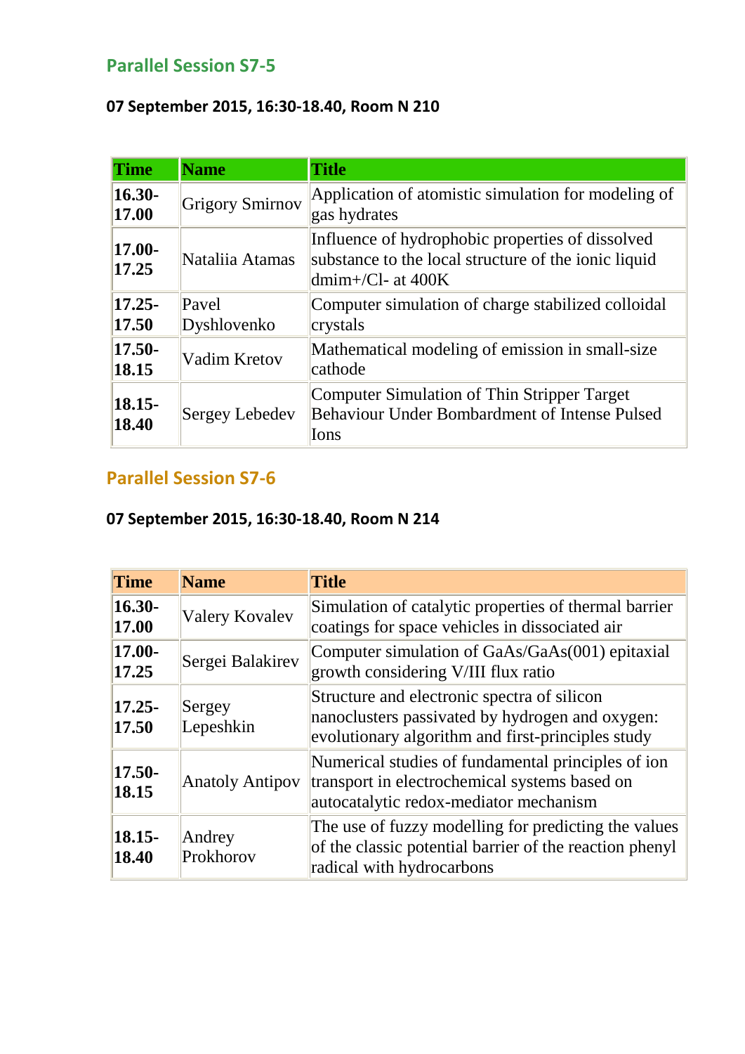#### **Parallel Session S7-5**

#### **07 September 2015, 16:30-18.40, Room N 210**

| <b>Time</b>        | <b>Name</b>            | <b>Title</b>                                                                                                                    |
|--------------------|------------------------|---------------------------------------------------------------------------------------------------------------------------------|
| $16.30-$<br>17.00  | <b>Grigory Smirnov</b> | Application of atomistic simulation for modeling of<br>gas hydrates                                                             |
| $17.00 -$<br>17.25 | Nataliia Atamas        | Influence of hydrophobic properties of dissolved<br>substance to the local structure of the ionic liquid<br>dmim+/Cl- at $400K$ |
| $17.25 -$<br>17.50 | Pavel<br>Dyshlovenko   | Computer simulation of charge stabilized colloidal<br>crystals                                                                  |
| $17.50 -$<br>18.15 | Vadim Kretov           | Mathematical modeling of emission in small-size<br>cathode                                                                      |
| $18.15 -$<br>18.40 | Sergey Lebedev         | Computer Simulation of Thin Stripper Target<br><b>Behaviour Under Bombardment of Intense Pulsed</b><br>Ions                     |

## **Parallel Session S7-6**

#### **07 September 2015, 16:30-18.40, Room N 214**

| <b>Time</b>        | <b>Name</b>            | <b>Title</b>                                                                                                                                        |
|--------------------|------------------------|-----------------------------------------------------------------------------------------------------------------------------------------------------|
| $16.30 -$<br>17.00 | Valery Kovalev         | Simulation of catalytic properties of thermal barrier<br>coatings for space vehicles in dissociated air                                             |
| 17.00-<br>17.25    | Sergei Balakirev       | Computer simulation of GaAs/GaAs(001) epitaxial<br>growth considering V/III flux ratio                                                              |
| $17.25 -$<br>17.50 | Sergey<br>Lepeshkin    | Structure and electronic spectra of silicon<br>nanoclusters passivated by hydrogen and oxygen:<br>evolutionary algorithm and first-principles study |
| $17.50 -$<br>18.15 | <b>Anatoly Antipov</b> | Numerical studies of fundamental principles of ion<br>transport in electrochemical systems based on<br>autocatalytic redox-mediator mechanism       |
| $18.15 -$<br>18.40 | Andrey<br>Prokhorov    | The use of fuzzy modelling for predicting the values<br>of the classic potential barrier of the reaction phenyl<br>radical with hydrocarbons        |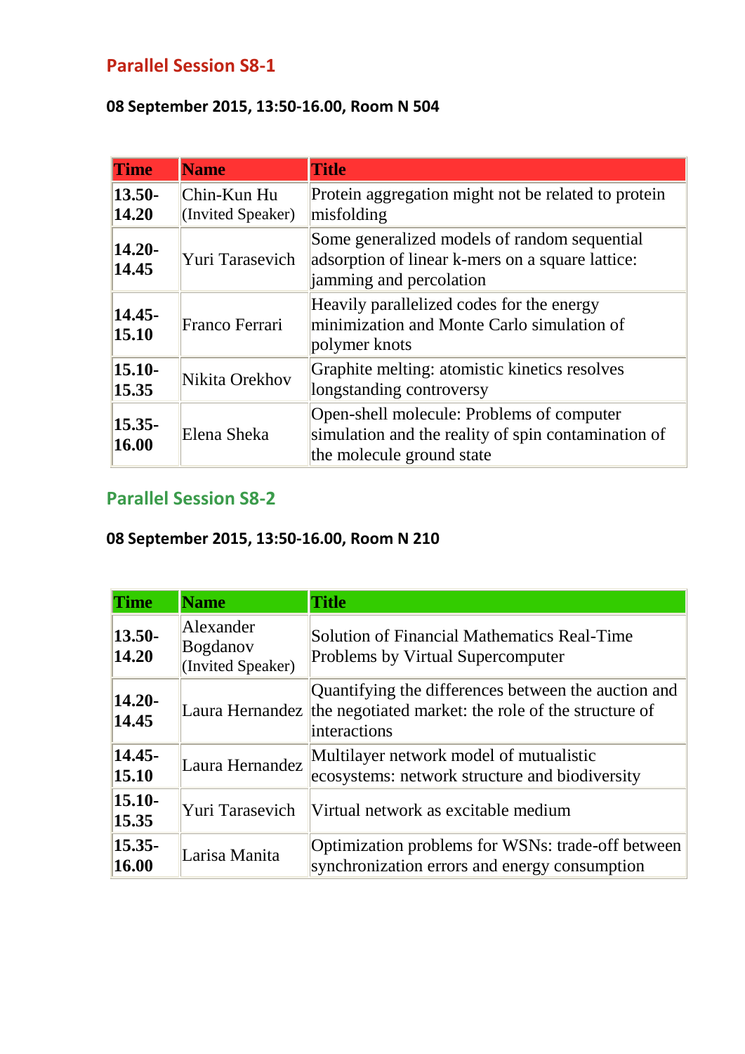## **Parallel Session S8-1**

#### **08 September 2015, 13:50-16.00, Room N 504**

| <b>Time</b>        | <b>Name</b>                      | <b>Title</b>                                                                                                                         |
|--------------------|----------------------------------|--------------------------------------------------------------------------------------------------------------------------------------|
| $13.50 -$<br>14.20 | Chin-Kun Hu<br>(Invited Speaker) | Protein aggregation might not be related to protein<br>misfolding                                                                    |
| $14.20 -$<br>14.45 | Yuri Tarasevich                  | Some generalized models of random sequential<br>adsorption of linear k-mers on a square lattice:<br><i>i</i> jamming and percolation |
| $14.45 -$<br>15.10 | Franco Ferrari                   | Heavily parallelized codes for the energy<br>minimization and Monte Carlo simulation of<br>polymer knots                             |
| $15.10 -$<br>15.35 | Nikita Orekhov                   | Graphite melting: atomistic kinetics resolves<br>longstanding controversy                                                            |
| $15.35 -$<br>16.00 | Elena Sheka                      | Open-shell molecule: Problems of computer<br>simulation and the reality of spin contamination of<br>the molecule ground state        |

#### **Parallel Session S8-2**

| <b>Time</b>        | <b>Name</b>                                | <b>Title</b>                                                                                                                               |
|--------------------|--------------------------------------------|--------------------------------------------------------------------------------------------------------------------------------------------|
| $13.50 -$<br>14.20 | Alexander<br>Bogdanov<br>(Invited Speaker) | Solution of Financial Mathematics Real-Time<br>Problems by Virtual Supercomputer                                                           |
| $14.20 -$<br>14.45 |                                            | Quantifying the differences between the auction and<br>Laura Hernandez the negotiated market: the role of the structure of<br>interactions |
| $14.45 -$<br>15.10 | Laura Hernandez                            | Multilayer network model of mutualistic<br>ecosystems: network structure and biodiversity                                                  |
| $15.10 -$<br>15.35 | Yuri Tarasevich                            | Virtual network as excitable medium                                                                                                        |
| $15.35 -$<br>16.00 | Larisa Manita                              | Optimization problems for WSNs: trade-off between<br>synchronization errors and energy consumption                                         |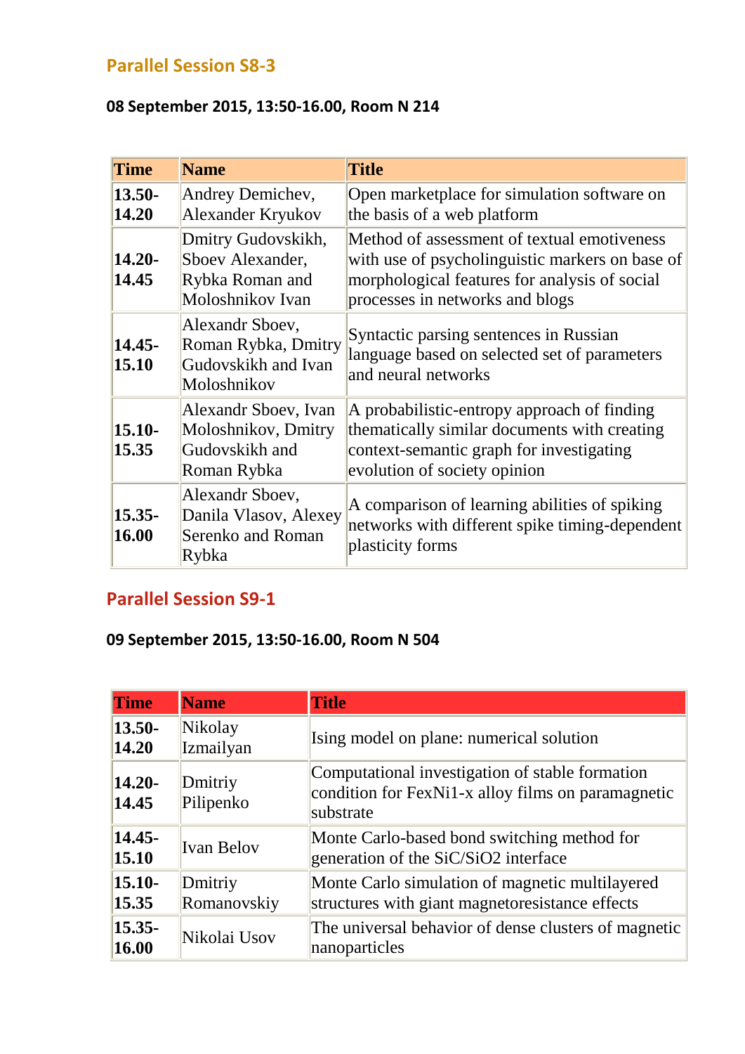#### **Parallel Session S8-3**

#### **08 September 2015, 13:50-16.00, Room N 214**

| <b>Time</b>        | <b>Name</b>                                                                   | <b>Title</b>                                                                                                                                                                       |
|--------------------|-------------------------------------------------------------------------------|------------------------------------------------------------------------------------------------------------------------------------------------------------------------------------|
| $13.50 -$<br>14.20 | Andrey Demichev,<br><b>Alexander Kryukov</b>                                  | Open marketplace for simulation software on<br>the basis of a web platform                                                                                                         |
| $14.20 -$<br>14.45 | Dmitry Gudovskikh,<br>Sboev Alexander.<br>Rybka Roman and<br>Moloshnikov Ivan | Method of assessment of textual emotiveness<br>with use of psycholinguistic markers on base of<br>morphological features for analysis of social<br>processes in networks and blogs |
| $14.45 -$<br>15.10 | Alexandr Sboev,<br>Roman Rybka, Dmitry<br>Gudovskikh and Ivan<br>Moloshnikov  | Syntactic parsing sentences in Russian<br>language based on selected set of parameters<br>and neural networks                                                                      |
| $15.10 -$<br>15.35 | Alexandr Sboev, Ivan<br>Moloshnikov, Dmitry<br>Gudovskikh and<br>Roman Rybka  | A probabilistic-entropy approach of finding<br>thematically similar documents with creating<br>context-semantic graph for investigating<br>evolution of society opinion            |
| $15.35 -$<br>16.00 | Alexandr Sboev,<br>Danila Vlasov, Alexey<br>Serenko and Roman<br>Rybka        | A comparison of learning abilities of spiking<br>networks with different spike timing-dependent<br>plasticity forms                                                                |

#### **Parallel Session S9-1**

| <b>Time</b>        | <b>Name</b>            | <b>Title</b>                                                                                                       |
|--------------------|------------------------|--------------------------------------------------------------------------------------------------------------------|
| $13.50 -$<br>14.20 | Nikolay<br>Izmailyan   | Ising model on plane: numerical solution                                                                           |
| $14.20 -$<br>14.45 | Dmitriy<br>Pilipenko   | Computational investigation of stable formation<br>condition for FexNi1-x alloy films on paramagnetic<br>substrate |
| $14.45 -$<br>15.10 | Ivan Belov             | Monte Carlo-based bond switching method for<br>generation of the SiC/SiO2 interface                                |
| $15.10 -$<br>15.35 | Dmitriy<br>Romanovskiy | Monte Carlo simulation of magnetic multilayered<br>structures with giant magnetoresistance effects                 |
| $15.35 -$<br>16.00 | Nikolai Usov           | The universal behavior of dense clusters of magnetic<br>nanoparticles                                              |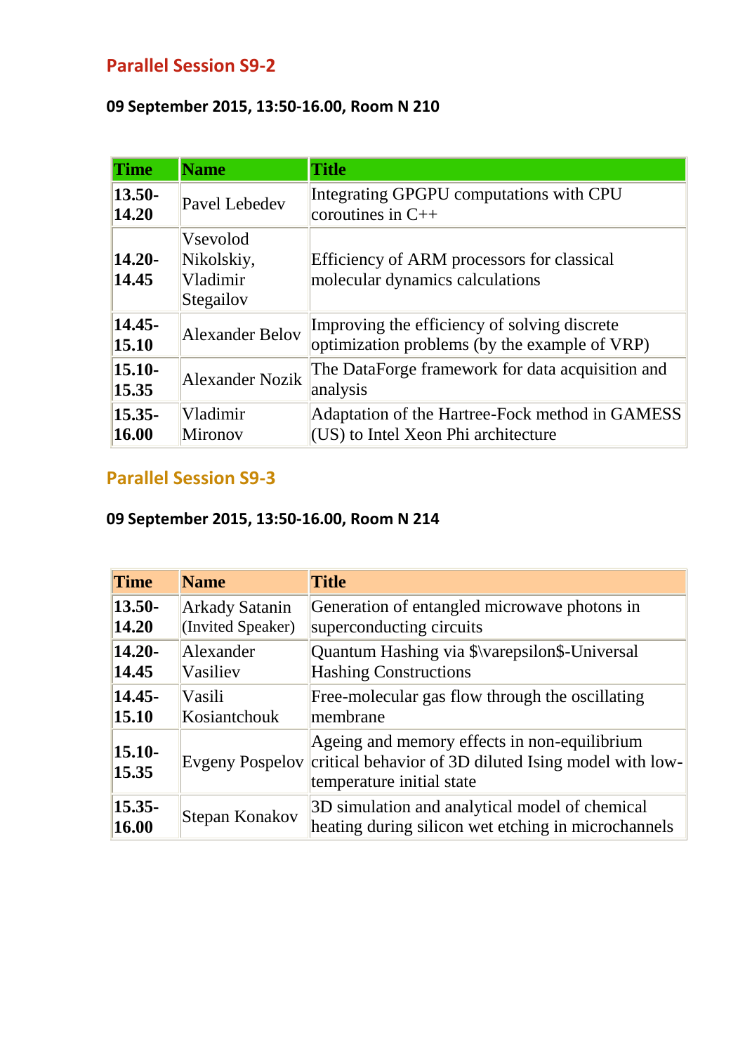## **Parallel Session S9-2**

#### **09 September 2015, 13:50-16.00, Room N 210**

| <b>Time</b>        | <b>Name</b>                                     | <b>Title</b>                                                                                  |
|--------------------|-------------------------------------------------|-----------------------------------------------------------------------------------------------|
| $13.50 -$<br>14.20 | Pavel Lebedev                                   | Integrating GPGPU computations with CPU<br>coroutines in $C++$                                |
| $14.20 -$<br>14.45 | Vsevolod<br>Nikolskiy,<br>Vladimir<br>Stegailov | Efficiency of ARM processors for classical<br>molecular dynamics calculations                 |
| $14.45 -$<br>15.10 | <b>Alexander Belov</b>                          | Improving the efficiency of solving discrete<br>optimization problems (by the example of VRP) |
| $15.10 -$<br>15.35 | <b>Alexander Nozik</b>                          | The DataForge framework for data acquisition and<br>analysis                                  |
| $15.35 -$<br>16.00 | Vladimir<br>Mironov                             | Adaptation of the Hartree-Fock method in GAMESS<br>(US) to Intel Xeon Phi architecture        |

## **Parallel Session S9-3**

| <b>Time</b>        | <b>Name</b>           | <b>Title</b>                                                                                                                       |
|--------------------|-----------------------|------------------------------------------------------------------------------------------------------------------------------------|
| $13.50 -$          | <b>Arkady Satanin</b> | Generation of entangled microwave photons in                                                                                       |
| 14.20              | (Invited Speaker)     | superconducting circuits                                                                                                           |
| $14.20 -$          | Alexander             | Quantum Hashing via \$\varepsilon\$-Universal                                                                                      |
| 14.45              | Vasiliev              | <b>Hashing Constructions</b>                                                                                                       |
| $14.45 -$          | Vasili                | Free-molecular gas flow through the oscillating                                                                                    |
| 15.10              | Kosiantchouk          | membrane                                                                                                                           |
| $15.10 -$<br>15.35 | Evgeny Pospelov       | Ageing and memory effects in non-equilibrium<br>critical behavior of 3D diluted Ising model with low-<br>temperature initial state |
| $15.35 -$<br>16.00 | Stepan Konakov        | 3D simulation and analytical model of chemical<br>heating during silicon wet etching in microchannels                              |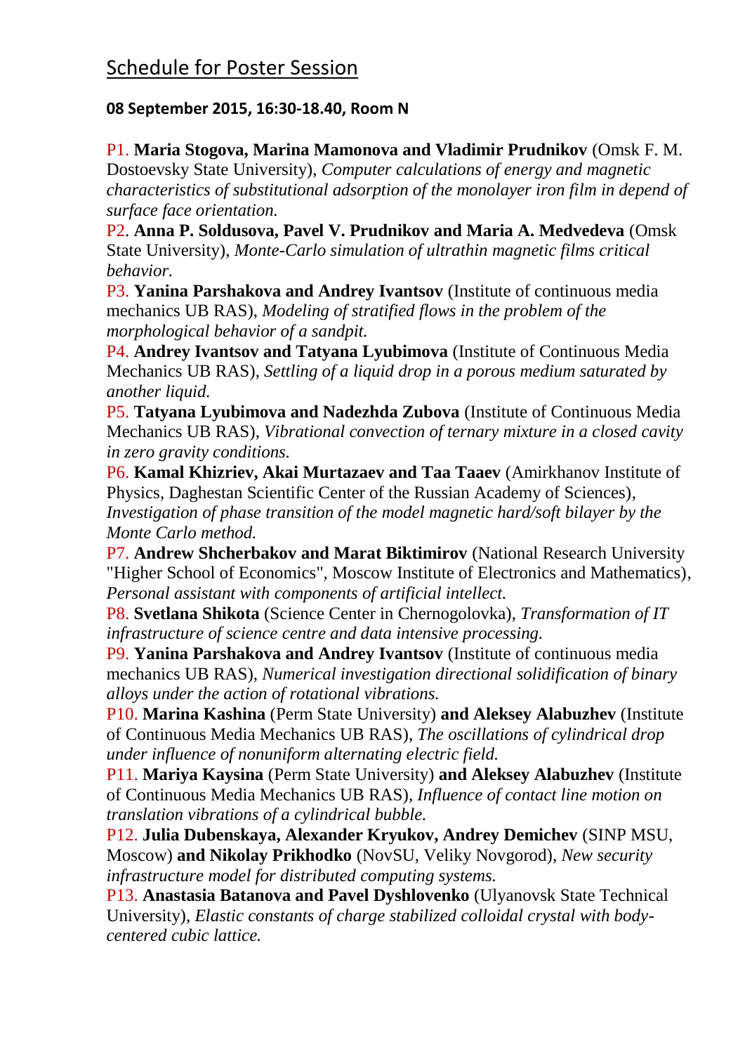#### **08 September 2015, 16:30-18.40, Room N**

P1. **Maria Stogova, Marina Mamonova and Vladimir Prudnikov** (Omsk F. M. Dostoevsky State University), *Computer calculations of energy and magnetic characteristics of substitutional adsorption of the monolayer iron film in depend of surface face orientation.*

P2. **Anna P. Soldusova, Pavel V. Prudnikov and Maria A. Medvedeva** (Omsk State University), *Monte-Carlo simulation of ultrathin magnetic films critical behavior.*

P3. **Yanina Parshakova and Andrey Ivantsov** (Institute of continuous media mechanics UB RAS), *Modeling of stratified flows in the problem of the morphological behavior of a sandpit.*

P4. **Andrey Ivantsov and Tatyana Lyubimova** (Institute of Continuous Media Mechanics UB RAS), *Settling of a liquid drop in a porous medium saturated by another liquid.*

P5. **Tatyana Lyubimova and Nadezhda Zubova** (Institute of Continuous Media Mechanics UB RAS), *Vibrational convection of ternary mixture in a closed cavity in zero gravity conditions.*

P6. **Kamal Khizriev, Akai Murtazaev and Taa Taaev** (Amirkhanov Institute of Physics, Daghestan Scientific Center of the Russian Academy of Sciences), *Investigation of phase transition of the model magnetic hard/soft bilayer by the Monte Carlo method.*

P7. **Andrew Shcherbakov and Marat Biktimirov** (National Research University "Higher School of Economics", Moscow Institute of Electronics and Mathematics), *Personal assistant with components of artificial intellect.*

P8. **Svetlana Shikota** (Science Center in Chernogolovka), *Transformation of IT infrastructure of science centre and data intensive processing.*

P9. **Yanina Parshakova and Andrey Ivantsov** (Institute of continuous media mechanics UB RAS), *Numerical investigation directional solidification of binary alloys under the action of rotational vibrations.*

P10. **Marina Kashina** (Perm State University) **and Aleksey Alabuzhev** (Institute of Continuous Media Mechanics UB RAS), *The oscillations of cylindrical drop under influence of nonuniform alternating electric field.*

P11. **Mariya Kaysina** (Perm State University) **and Aleksey Alabuzhev** (Institute of Continuous Media Mechanics UB RAS), *Influence of contact line motion on translation vibrations of a cylindrical bubble.*

P12. **Julia Dubenskaya, Alexander Kryukov, Andrey Demichev** (SINP MSU, Moscow) **and Nikolay Prikhodko** (NovSU, Veliky Novgorod), *New security infrastructure model for distributed computing systems.*

P13. **Anastasia Batanova and Pavel Dyshlovenko** (Ulyanovsk State Technical University), *Elastic constants of charge stabilized colloidal crystal with bodycentered cubic lattice.*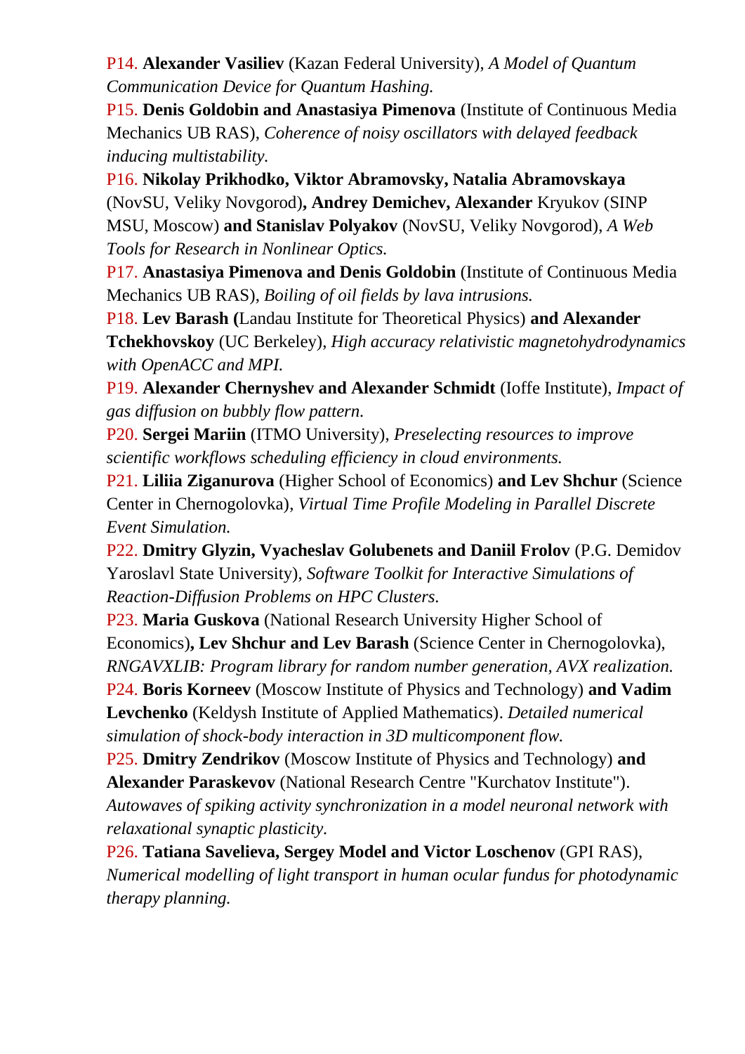P14. **Alexander Vasiliev** (Kazan Federal University), *A Model of Quantum Communication Device for Quantum Hashing.*

P15. **Denis Goldobin and Anastasiya Pimenova** (Institute of Continuous Media Mechanics UB RAS), *Coherence of noisy oscillators with delayed feedback inducing multistability.*

P16. **Nikolay Prikhodko, Viktor Abramovsky, Natalia Abramovskaya**  (NovSU, Veliky Novgorod)**, Andrey Demichev, Alexander** Kryukov (SINP MSU, Moscow) **and Stanislav Polyakov** (NovSU, Veliky Novgorod), *A Web Tools for Research in Nonlinear Optics.*

P17. **Anastasiya Pimenova and Denis Goldobin** (Institute of Continuous Media Mechanics UB RAS), *Boiling of oil fields by lava intrusions.*

P18. **Lev Barash (**Landau Institute for Theoretical Physics) **and Alexander Tchekhovskoy** (UC Berkeley), *High accuracy relativistic magnetohydrodynamics with OpenACC and MPI.*

P19. **Alexander Chernyshev and Alexander Schmidt** (Ioffe Institute), *Impact of gas diffusion on bubbly flow pattern.*

P20. **Sergei Mariin** (ITMO University), *Preselecting resources to improve scientific workflows scheduling efficiency in cloud environments.*

P21. **Liliia Ziganurova** (Higher School of Economics) **and Lev Shchur** (Science Center in Chernogolovka), *Virtual Time Profile Modeling in Parallel Discrete Event Simulation.*

P22. **Dmitry Glyzin, Vyacheslav Golubenets and Daniil Frolov** (P.G. Demidov Yaroslavl State University), *Software Toolkit for Interactive Simulations of Reaction-Diffusion Problems on HPC Clusters.*

P23. **Maria Guskova** (National Research University Higher School of Economics)**, Lev Shchur and Lev Barash** (Science Center in Chernogolovka), *RNGAVXLIB: Program library for random number generation, AVX realization.* P24. **Boris Korneev** (Moscow Institute of Physics and Technology) **and Vadim Levchenko** (Keldysh Institute of Applied Mathematics). *Detailed numerical simulation of shock-body interaction in 3D multicomponent flow.*

P25. **Dmitry Zendrikov** (Moscow Institute of Physics and Technology) **and Alexander Paraskevov** (National Research Centre "Kurchatov Institute").

*Autowaves of spiking activity synchronization in a model neuronal network with relaxational synaptic plasticity.*

P26. **Tatiana Savelieva, Sergey Model and Victor Loschenov** (GPI RAS), *Numerical modelling of light transport in human ocular fundus for photodynamic therapy planning.*